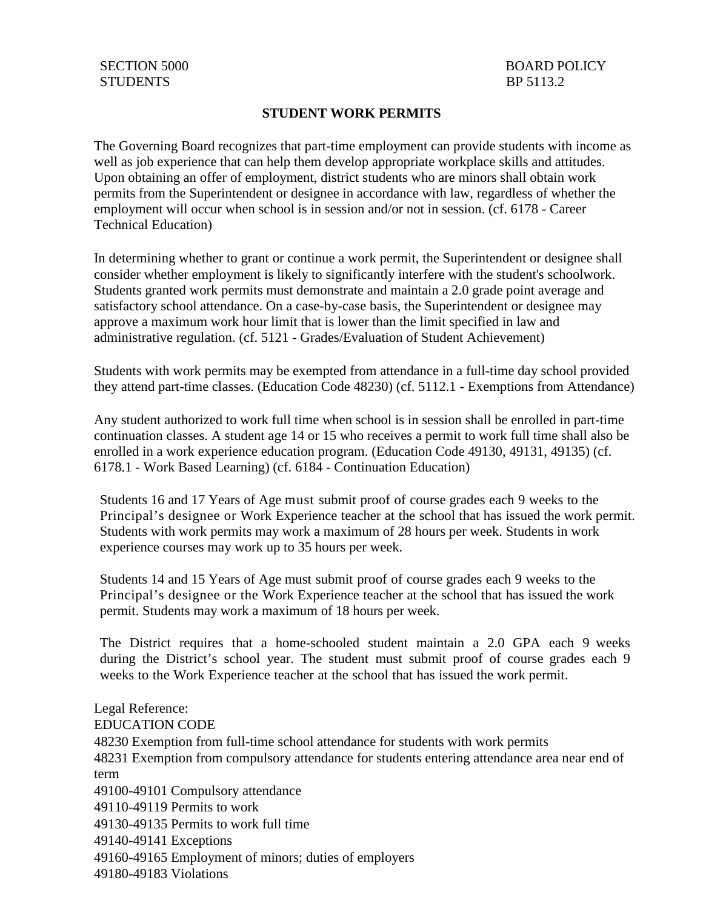### **STUDENT WORK PERMITS**

The Governing Board recognizes that part-time employment can provide students with income as well as job experience that can help them develop appropriate workplace skills and attitudes. Upon obtaining an offer of employment, district students who are minors shall obtain work permits from the Superintendent or designee in accordance with law, regardless of whether the employment will occur when school is in session and/or not in session. (cf. 6178 - Career Technical Education)

In determining whether to grant or continue a work permit, the Superintendent or designee shall consider whether employment is likely to significantly interfere with the student's schoolwork. Students granted work permits must demonstrate and maintain a 2.0 grade point average and satisfactory school attendance. On a case-by-case basis, the Superintendent or designee may approve a maximum work hour limit that is lower than the limit specified in law and administrative regulation. (cf. 5121 - Grades/Evaluation of Student Achievement)

Students with work permits may be exempted from attendance in a full-time day school provided they attend part-time classes. (Education Code 48230) (cf. 5112.1 - Exemptions from Attendance)

Any student authorized to work full time when school is in session shall be enrolled in part-time continuation classes. A student age 14 or 15 who receives a permit to work full time shall also be enrolled in a work experience education program. (Education Code 49130, 49131, 49135) (cf. 6178.1 - Work Based Learning) (cf. 6184 - Continuation Education)

Students 16 and 17 Years of Age must submit proof of course grades each 9 weeks to the Principal's designee or Work Experience teacher at the school that has issued the work permit. Students with work permits may work a maximum of 28 hours per week. Students in work experience courses may work up to 35 hours per week.

Students 14 and 15 Years of Age must submit proof of course grades each 9 weeks to the Principal's designee or the Work Experience teacher at the school that has issued the work permit. Students may work a maximum of 18 hours per week.

The District requires that a home-schooled student maintain a 2.0 GPA each 9 weeks during the District's school year. The student must submit proof of course grades each 9 weeks to the Work Experience teacher at the school that has issued the work permit.

Legal Reference: EDUCATION CODE 48230 Exemption from full-time school attendance for students with work permits 48231 Exemption from compulsory attendance for students entering attendance area near end of term 49100-49101 Compulsory attendance 49110-49119 Permits to work 49130-49135 Permits to work full time 49140-49141 Exceptions 49160-49165 Employment of minors; duties of employers 49180-49183 Violations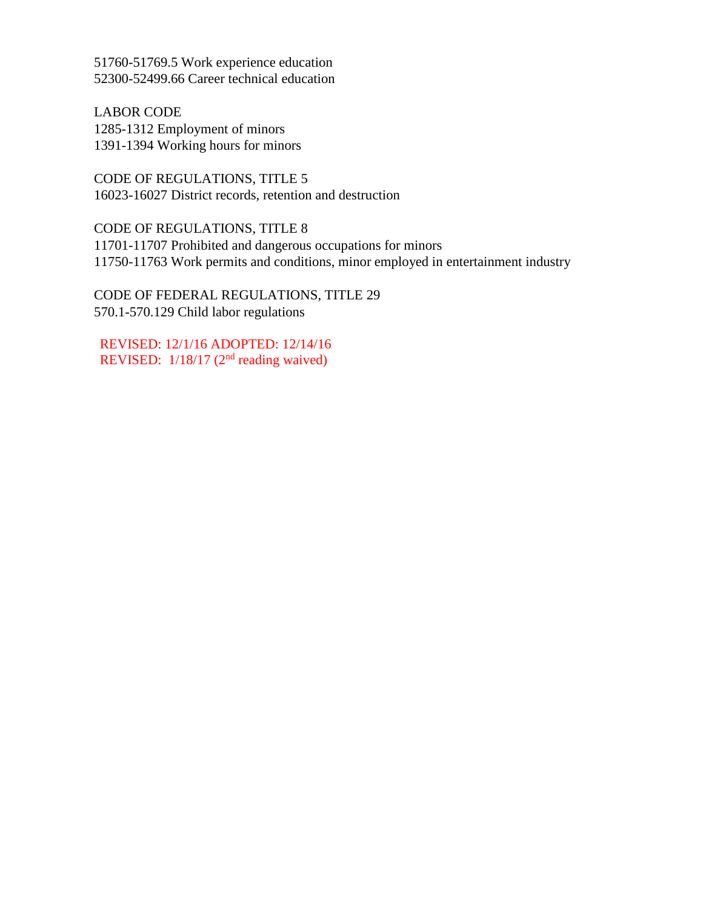51760-51769.5 Work experience education 52300-52499.66 Career technical education

LABOR CODE 1285-1312 Employment of minors 1391-1394 Working hours for minors

CODE OF REGULATIONS, TITLE 5 16023-16027 District records, retention and destruction

CODE OF REGULATIONS, TITLE 8 11701-11707 Prohibited and dangerous occupations for minors 11750-11763 Work permits and conditions, minor employed in entertainment industry

CODE OF FEDERAL REGULATIONS, TITLE 29 570.1-570.129 Child labor regulations

REVISED: 12/1/16 ADOPTED: 12/14/16 REVISED:  $1/18/17$  (2<sup>nd</sup> reading waived)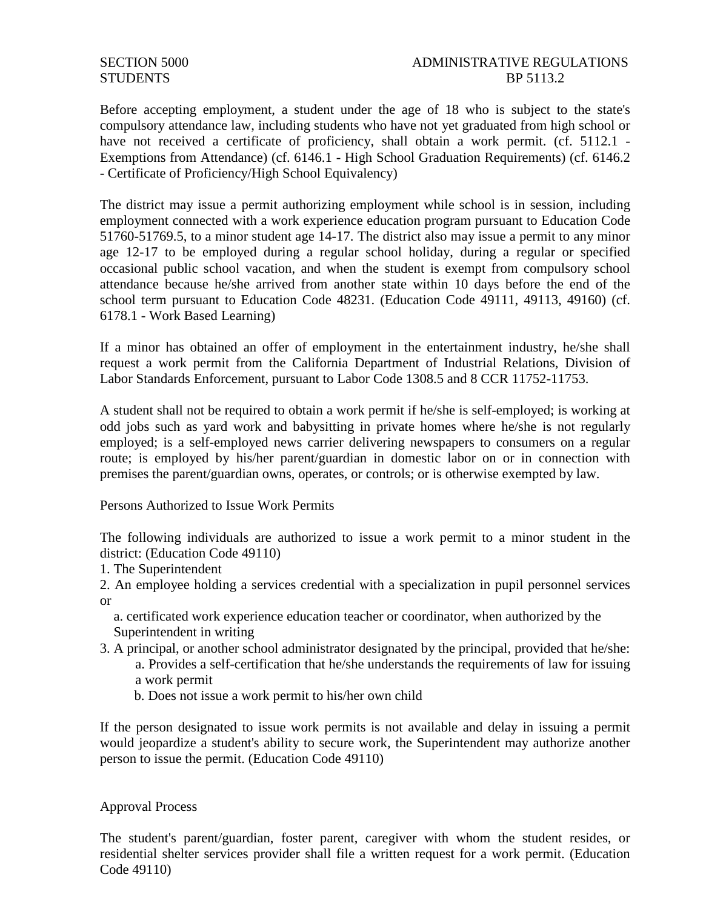# SECTION 5000 ADMINISTRATIVE REGULATIONS STUDENTS BP 5113.2

Before accepting employment, a student under the age of 18 who is subject to the state's compulsory attendance law, including students who have not yet graduated from high school or have not received a certificate of proficiency, shall obtain a work permit. (cf. 5112.1 -Exemptions from Attendance) (cf. 6146.1 - High School Graduation Requirements) (cf. 6146.2 - Certificate of Proficiency/High School Equivalency)

The district may issue a permit authorizing employment while school is in session, including employment connected with a work experience education program pursuant to Education Code 51760-51769.5, to a minor student age 14-17. The district also may issue a permit to any minor age 12-17 to be employed during a regular school holiday, during a regular or specified occasional public school vacation, and when the student is exempt from compulsory school attendance because he/she arrived from another state within 10 days before the end of the school term pursuant to Education Code 48231. (Education Code 49111, 49113, 49160) (cf. 6178.1 - Work Based Learning)

If a minor has obtained an offer of employment in the entertainment industry, he/she shall request a work permit from the California Department of Industrial Relations, Division of Labor Standards Enforcement, pursuant to Labor Code 1308.5 and 8 CCR 11752-11753.

A student shall not be required to obtain a work permit if he/she is self-employed; is working at odd jobs such as yard work and babysitting in private homes where he/she is not regularly employed; is a self-employed news carrier delivering newspapers to consumers on a regular route; is employed by his/her parent/guardian in domestic labor on or in connection with premises the parent/guardian owns, operates, or controls; or is otherwise exempted by law.

Persons Authorized to Issue Work Permits

The following individuals are authorized to issue a work permit to a minor student in the district: (Education Code 49110)

- 1. The Superintendent
- 2. An employee holding a services credential with a specialization in pupil personnel services or
	- a. certificated work experience education teacher or coordinator, when authorized by the Superintendent in writing
- 3. A principal, or another school administrator designated by the principal, provided that he/she:
	- a. Provides a self-certification that he/she understands the requirements of law for issuing a work permit
	- b. Does not issue a work permit to his/her own child

If the person designated to issue work permits is not available and delay in issuing a permit would jeopardize a student's ability to secure work, the Superintendent may authorize another person to issue the permit. (Education Code 49110)

#### Approval Process

The student's parent/guardian, foster parent, caregiver with whom the student resides, or residential shelter services provider shall file a written request for a work permit. (Education Code 49110)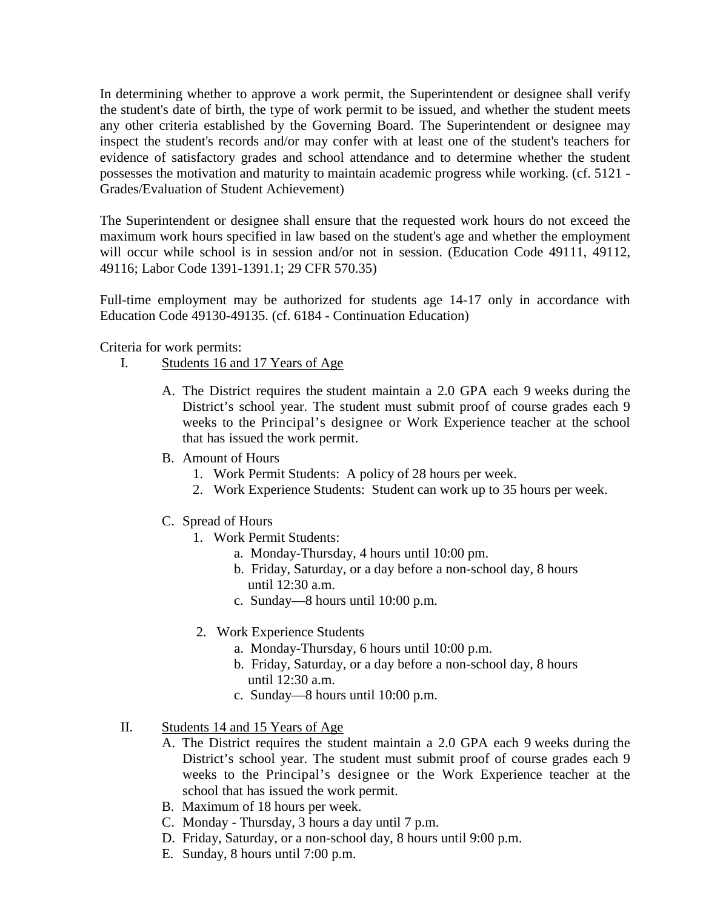In determining whether to approve a work permit, the Superintendent or designee shall verify the student's date of birth, the type of work permit to be issued, and whether the student meets any other criteria established by the Governing Board. The Superintendent or designee may inspect the student's records and/or may confer with at least one of the student's teachers for evidence of satisfactory grades and school attendance and to determine whether the student possesses the motivation and maturity to maintain academic progress while working. (cf. 5121 - Grades/Evaluation of Student Achievement)

The Superintendent or designee shall ensure that the requested work hours do not exceed the maximum work hours specified in law based on the student's age and whether the employment will occur while school is in session and/or not in session. (Education Code 49111, 49112, 49116; Labor Code 1391-1391.1; 29 CFR 570.35)

Full-time employment may be authorized for students age 14-17 only in accordance with Education Code 49130-49135. (cf. 6184 - Continuation Education)

Criteria for work permits:

- I. Students 16 and 17 Years of Age
	- A. The District requires the student maintain a 2.0 GPA each 9 weeks during the District's school year. The student must submit proof of course grades each 9 weeks to the Principal's designee or Work Experience teacher at the school that has issued the work permit.
	- B. Amount of Hours
		- 1. Work Permit Students: A policy of 28 hours per week.
		- 2. Work Experience Students: Student can work up to 35 hours per week.
	- C. Spread of Hours
		- 1. Work Permit Students:
			- a. Monday-Thursday, 4 hours until 10:00 pm.
			- b. Friday, Saturday, or a day before a non-school day, 8 hours until 12:30 a.m.
			- c. Sunday—8 hours until 10:00 p.m.
		- 2. Work Experience Students
			- a. Monday-Thursday, 6 hours until 10:00 p.m.
			- b. Friday, Saturday, or a day before a non-school day, 8 hours until 12:30 a.m.
			- c. Sunday—8 hours until 10:00 p.m.
- II. Students 14 and 15 Years of Age
	- A. The District requires the student maintain a 2.0 GPA each 9 weeks during the District's school year. The student must submit proof of course grades each 9 weeks to the Principal's designee or the Work Experience teacher at the school that has issued the work permit.
	- B. Maximum of 18 hours per week.
	- C. Monday Thursday, 3 hours a day until 7 p.m.
	- D. Friday, Saturday, or a non-school day, 8 hours until 9:00 p.m.
	- E. Sunday, 8 hours until 7:00 p.m.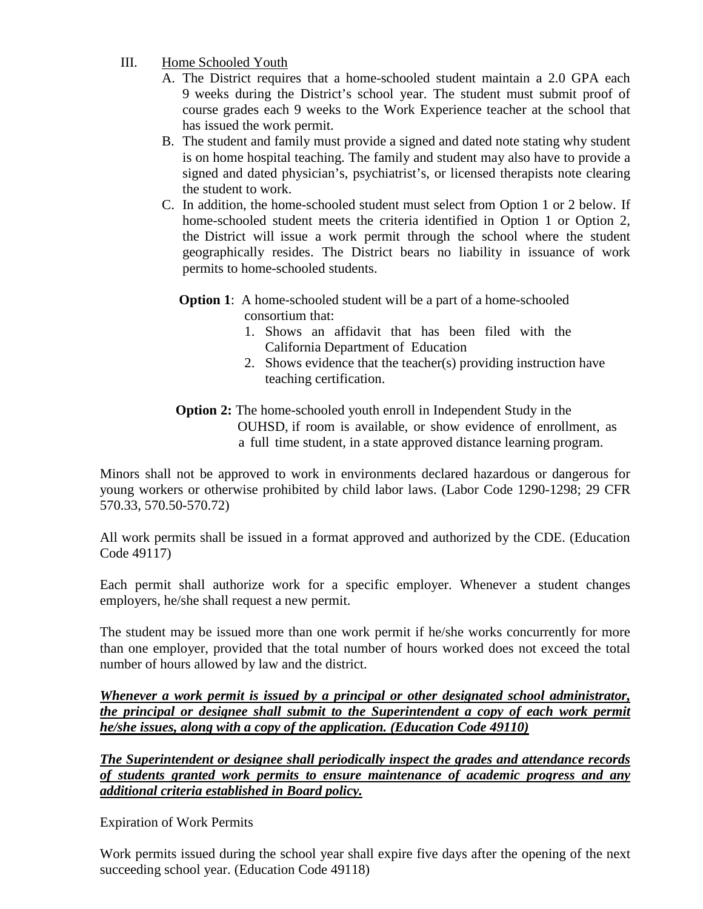# III. Home Schooled Youth

- A. The District requires that a home-schooled student maintain a 2.0 GPA each 9 weeks during the District's school year. The student must submit proof of course grades each 9 weeks to the Work Experience teacher at the school that has issued the work permit.
- B. The student and family must provide a signed and dated note stating why student is on home hospital teaching. The family and student may also have to provide a signed and dated physician's, psychiatrist's, or licensed therapists note clearing the student to work.
- C. In addition, the home-schooled student must select from Option 1 or 2 below. If home-schooled student meets the criteria identified in Option 1 or Option 2, the District will issue a work permit through the school where the student geographically resides. The District bears no liability in issuance of work permits to home-schooled students.

# **Option 1**: A home-schooled student will be a part of a home-schooled consortium that:

- 1. Shows an affidavit that has been filed with the California Department of Education
- 2. Shows evidence that the teacher(s) providing instruction have teaching certification.

# **Option 2:** The home-schooled youth enroll in Independent Study in the OUHSD, if room is available, or show evidence of enrollment, as a full time student, in a state approved distance learning program.

Minors shall not be approved to work in environments declared hazardous or dangerous for young workers or otherwise prohibited by child labor laws. (Labor Code 1290-1298; 29 CFR 570.33, 570.50-570.72)

All work permits shall be issued in a format approved and authorized by the CDE. (Education Code 49117)

Each permit shall authorize work for a specific employer. Whenever a student changes employers, he/she shall request a new permit.

The student may be issued more than one work permit if he/she works concurrently for more than one employer, provided that the total number of hours worked does not exceed the total number of hours allowed by law and the district.

*Whenever a work permit is issued by a principal or other designated school administrator, the principal or designee shall submit to the Superintendent a copy of each work permit he/she issues, along with a copy of the application. (Education Code 49110)*

*The Superintendent or designee shall periodically inspect the grades and attendance records of students granted work permits to ensure maintenance of academic progress and any additional criteria established in Board policy.*

Expiration of Work Permits

Work permits issued during the school year shall expire five days after the opening of the next succeeding school year. (Education Code 49118)